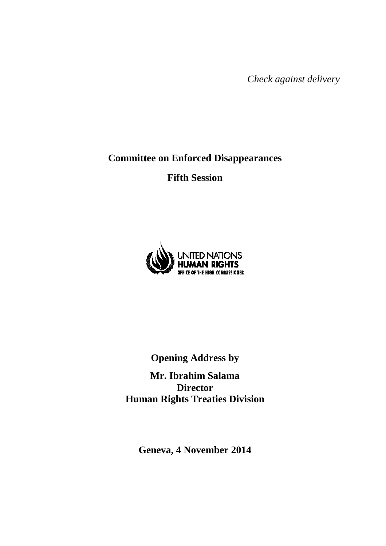*Check against delivery*

**Committee on Enforced Disappearances** 

**Fifth Session** 



**Opening Address by** 

**Mr. Ibrahim Salama Director Human Rights Treaties Division** 

**Geneva, 4 November 2014**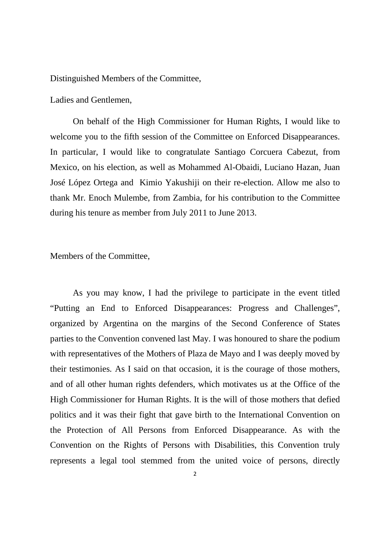Distinguished Members of the Committee,

Ladies and Gentlemen,

 On behalf of the High Commissioner for Human Rights, I would like to welcome you to the fifth session of the Committee on Enforced Disappearances. In particular, I would like to congratulate Santiago Corcuera Cabezut, from Mexico, on his election, as well as Mohammed Al-Obaidi, Luciano Hazan, Juan José López Ortega and Kimio Yakushiji on their re-election. Allow me also to thank Mr. Enoch Mulembe, from Zambia, for his contribution to the Committee during his tenure as member from July 2011 to June 2013.

Members of the Committee,

As you may know, I had the privilege to participate in the event titled "Putting an End to Enforced Disappearances: Progress and Challenges", organized by Argentina on the margins of the Second Conference of States parties to the Convention convened last May. I was honoured to share the podium with representatives of the Mothers of Plaza de Mayo and I was deeply moved by their testimonies. As I said on that occasion, it is the courage of those mothers, and of all other human rights defenders, which motivates us at the Office of the High Commissioner for Human Rights. It is the will of those mothers that defied politics and it was their fight that gave birth to the International Convention on the Protection of All Persons from Enforced Disappearance. As with the Convention on the Rights of Persons with Disabilities, this Convention truly represents a legal tool stemmed from the united voice of persons, directly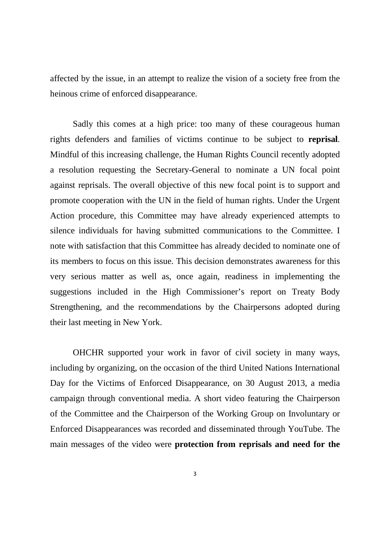affected by the issue, in an attempt to realize the vision of a society free from the heinous crime of enforced disappearance.

Sadly this comes at a high price: too many of these courageous human rights defenders and families of victims continue to be subject to **reprisal**. Mindful of this increasing challenge, the Human Rights Council recently adopted a resolution requesting the Secretary-General to nominate a UN focal point against reprisals. The overall objective of this new focal point is to support and promote cooperation with the UN in the field of human rights. Under the Urgent Action procedure, this Committee may have already experienced attempts to silence individuals for having submitted communications to the Committee. I note with satisfaction that this Committee has already decided to nominate one of its members to focus on this issue. This decision demonstrates awareness for this very serious matter as well as, once again, readiness in implementing the suggestions included in the High Commissioner's report on Treaty Body Strengthening, and the recommendations by the Chairpersons adopted during their last meeting in New York.

OHCHR supported your work in favor of civil society in many ways, including by organizing, on the occasion of the third United Nations International Day for the Victims of Enforced Disappearance, on 30 August 2013, a media campaign through conventional media. A short video featuring the Chairperson of the Committee and the Chairperson of the Working Group on Involuntary or Enforced Disappearances was recorded and disseminated through YouTube. The main messages of the video were **protection from reprisals and need for the**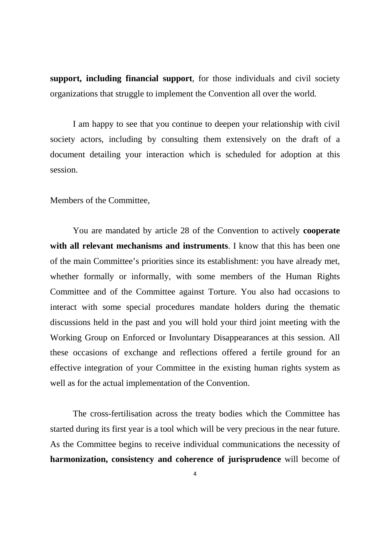**support, including financial support**, for those individuals and civil society organizations that struggle to implement the Convention all over the world.

I am happy to see that you continue to deepen your relationship with civil society actors, including by consulting them extensively on the draft of a document detailing your interaction which is scheduled for adoption at this session.

Members of the Committee,

 You are mandated by article 28 of the Convention to actively **cooperate with all relevant mechanisms and instruments**. I know that this has been one of the main Committee's priorities since its establishment: you have already met, whether formally or informally, with some members of the Human Rights Committee and of the Committee against Torture. You also had occasions to interact with some special procedures mandate holders during the thematic discussions held in the past and you will hold your third joint meeting with the Working Group on Enforced or Involuntary Disappearances at this session. All these occasions of exchange and reflections offered a fertile ground for an effective integration of your Committee in the existing human rights system as well as for the actual implementation of the Convention.

 The cross-fertilisation across the treaty bodies which the Committee has started during its first year is a tool which will be very precious in the near future. As the Committee begins to receive individual communications the necessity of **harmonization, consistency and coherence of jurisprudence** will become of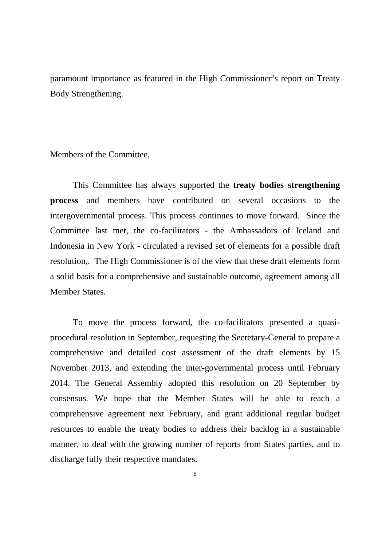paramount importance as featured in the High Commissioner's report on Treaty Body Strengthening.

Members of the Committee,

This Committee has always supported the **treaty bodies strengthening process** and members have contributed on several occasions to the intergovernmental process. This process continues to move forward. Since the Committee last met, the co-facilitators - the Ambassadors of Iceland and Indonesia in New York - circulated a revised set of elements for a possible draft resolution,. The High Commissioner is of the view that these draft elements form a solid basis for a comprehensive and sustainable outcome, agreement among all Member States.

To move the process forward, the co-facilitators presented a quasiprocedural resolution in September, requesting the Secretary-General to prepare a comprehensive and detailed cost assessment of the draft elements by 15 November 2013, and extending the inter-governmental process until February 2014. The General Assembly adopted this resolution on 20 September by consensus. We hope that the Member States will be able to reach a comprehensive agreement next February, and grant additional regular budget resources to enable the treaty bodies to address their backlog in a sustainable manner, to deal with the growing number of reports from States parties, and to discharge fully their respective mandates.